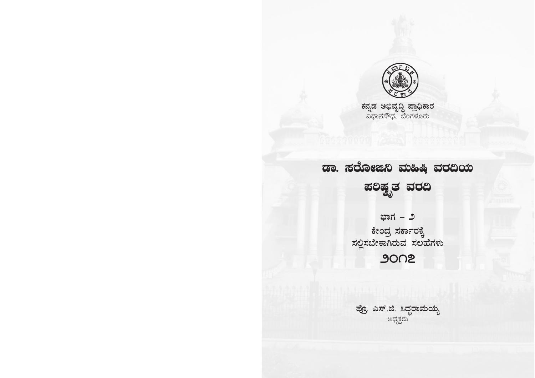

<mark>ಕನ್ನಡ ಅಭಿವೃದ್ಧಿ ಪ್ರಾಧಿಕಾರ</mark><br>ವಿಧಾನಸೌಧ, ಬೆಂಗಳೂರು

# ಡಾ. ಸರೋಜಿನಿ ಮಹಿಷಿ ವರದಿಯ ಪಲಿಷ್ಟ್ರತ ವರದಿ

ಭಾಗ – ೨ ಕೇಂದ್ರ ಸರ್ಕಾರಕ್ಕೆ<br>ಸಲ್ಲಿಸಬೇಕಾಗಿರುವ ಸಲಹೆಗಳು 9002

ಪ್ರೊ. ಎಸ್.ಜಿ. ಸಿದ್ಧರಾಮಯ್ಯ<br>ಅಧ್ಯಕ್ಷರು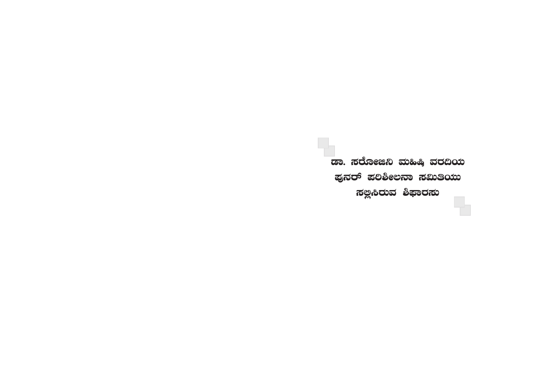ಪುನರ್ ಪಲಿಶೀಲನಾ ಸಮಿತಿಯು ಸಲ್ಲಿಸಿರುವ ಶಿಫಾರಸು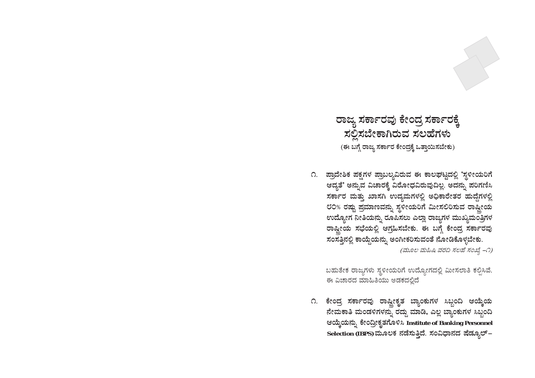ರಾಜ್ಯ ಸರ್ಕಾರವು ಕೇಂದ್ರ ಸರ್ಕಾರಕ್ಕೆ ಸಲ್ಲಿಸಬೇಕಾಗಿರುವ ಸಲಹೆಗಳು (ಈ ಬಗ್ಗೆ ರಾಜ್ಯ ಸರ್ಕಾರ ಕೇಂದ್ರಕ್ಕೆ ಒತ್ತಾಯಿಸಬೇಕು)

೧. ಪ್ರಾದೇಶಿಕ ಪಕ್ಷಗಳ ಪ್ರಾಬಲ್ಯವಿರುವ ಈ ಕಾಲಘಟ್ಟದಲ್ಲಿ 'ಸ್ಥಳೀಯರಿಗೆ ಆದ್ಯತೆ' ಅನ್ನುವ ವಿಚಾರಕ್ಕೆ ವಿರೋಧವಿರುವುದಿಲ್ಲ. ಅದನ್ನು ಪರಿಗಣಿಸಿ ಸರ್ಕಾರ ಮತ್ತು ಖಾಸಗಿ ಉದ್ಯಮಗಳಲ್ಲಿ ಅಧಿಕಾರೇತರ ಹುದ್ದೆಗಳಲ್ಲಿ ೮೦% ರಷ್ಟು ಪ್ರಮಾಣವನ್ನು ಸ್ಥಳೀಯರಿಗೆ ಮೀಸಲಿರಿಸುವ ರಾಷ್ಟೀಯ ಉದ್ಯೋಗ ನೀತಿಯನ್ನು ರೂಪಿಸಲು ಎಲ್ಲಾ ರಾಜ್ಯಗಳ ಮುಖ್ಯಮಂತ್ರಿಗಳ ರಾಷ್ಟ್ರೀಯ ಸಭೆಯಲ್ಲಿ ಆಗ್ರಹಿಸಬೇಕು. ಈ ಬಗ್ಗೆ ಕೇಂದ್ರ ಸರ್ಕಾರವು ಸಂಸತ್ತಿನಲ್ಲಿ ಕಾಯ್ದೆಯನ್ನು ಅಂಗೀಕರಿಸುವಂತೆ ನೋಡಿಕೊಳ್ಳಬೇಕು.

(ಮೂಲ ಮಹಿಷಿ ವರದಿ ಸಲಹೆ ಸಂಖ್ಯೆ –೧)

ಬಹುತೇಕ ರಾಜ್ಯಗಳು ಸ್ಥಳೀಯರಿಗೆ ಉದ್ಯೋಗದಲ್ಲಿ ಮೀಸಲಾತಿ ಕಲ್ಪಿಸಿವೆ. ಈ ವಿಚಾರದ ಮಾಹಿತಿಯು ಅಡಕದಲ್ಲಿದೆ

೧. ಕೇಂದ್ರ ಸರ್ಕಾರವು ರಾಷ್ಟ್ರೀಕೃತ ಬ್ಯಾಂಕುಗಳ ಸಿಬ್ಬಂದಿ ಆಯ್ಕೆಯ ನೇಮಕಾತಿ ಮಂಡಳಿಗಳನ್ನು ರದ್ದು ಮಾಡಿ, ಎಲ್ಲ ಬ್ಯಾಂಕುಗಳ ಸಿಬ್ಬಂದಿ ಆಯ್ಕೆಯನ್ನು ಕೇಂದ್ರೀಕೃತಗೊಳಿಸಿ Institute of Banking Personnel Selection (IBPS) ಮೂಲಕ ನಡೆಸುತ್ತಿದೆ. ಸಂವಿಧಾನದ ಷೆಡ್ಯೂಲ್–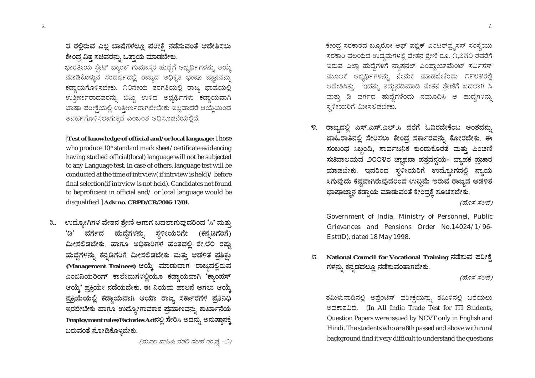ಭಾರತೀಯ ಸೇಟ್ ಬ್ಯಾಂಕ್ ಗುಮಾಸರ ಹುದ್ದೆಗೆ ಅಭ್ಯರ್ಥಿಗಳನ್ನು ಆಯ್ಕೆ ಮಾಡಿಕೊಳ್ಳುವ ಸಂದರ್ಭದಲ್ಲಿ ರಾಜ್ಯದ ಅಧಿಕೃತ ಭಾಷಾ ಜ್ಞಾನವನು ಕಡ್ಡಾಯಗೊಳಿಸಬೇಕು. ೧೦ನೇಯ ತರಗತಿಯಲ್ಲಿ ರಾಜ್ಯ ಭಾಷೆಯಲ್ಲಿ ಉತ್ತೀರ್ಣರಾದವರನ್ನು ಬಿಟ್ಟು ಉಳಿದ ಅಭ್ಯರ್ಥಿಗಳು ಕಡ್ಡಾಯವಾಗಿ ಭಾಷಾ ಪರೀಕ್ಷೆಯಲ್ಲಿ ಉತ್ತೀರ್ಣರಾಗಲೇಬೇಕು ಇಲ್ಲವಾದರೆ ಆಯ್ರೆಯಿಂದ ಅನರ್ಹಗೊಳಿಸಲಾಗುತ್ತದೆ ಎಂಬಂಶ ಅಧಿಸೂಚನೆಯಲ್ಲಿದೆ.

[Test of knowledge of official and/or local language: Those who produce 10<sup>th</sup> standard mark sheet/certificate evidencing having studied official(local) language will not be subjected to any Language test. In case of others, language test will be conducted at the time of intrview (if intrview is held) / before final selection(if intrview is not held). Candidates not found to beproficient in official and/or local language would be disqualified.] Adv no. CRPD/CR/2016-17/01.

ಉದ್ಯೋಗಿಗಳ ವೇತನ ಶ್ರೇಣಿ ಆಗಾಗ ಬದಲಾಗುವುದರಿಂದ 'ಸಿ' ಮತ್ತು ೩. ವರ್ಗದ ಹುದ್ದೆಗಳನ್ನು ಸ್ಥಳೀಯರಿಗೇ (ಕನ್ನಡಿಗರಿಗೆ) 'ಡಿ' ಮೀಸಲಿಡಬೇಕು. ಹಾಗೂ ಅಧಿಕಾರಿಗಳ ಹಂತದಲ್ಲಿ ಶೇ.೮೦ ರಷ್ಟು ಹುದ್ದೆಗಳನ್ನು ಕನ್ನಡಿಗರಿಗೆ ಮೀಸಲಿಡಬೇಕು ಮತ್ತು ಆಡಳಿತ ಪ್ರಶಿಕು (Management Trainees) ಆಯ್ಕೆ ಮಾಡುವಾಗ ರಾಜ್ಯದಲ್ಲಿರುವ ಎಂಜಿನಿಯರಿಂಗ್ ಕಾಲೇಜುಗಳಲ್ಲಿಯೂ ಕಡ್ಡಾಯವಾಗಿ 'ಕ್ಯಾಂಪಸ್ ಆಯ್ರೆ' ಪ್ರಕ್ರಿಯೇ ನಡೆಯಬೇಕು. ಈ ನಿಯಮ ಪಾಲನೆ ಆಗಲು ಆಯ್ರೆ ಪ್ರಕ್ರಿಯೆಯಲ್ಲಿ ಕಡ್ತಾಯವಾಗಿ ಆಯಾ ರಾಜ್ಯ ಸರ್ಕಾರಗಳ ಪ್ರತಿನಿಧಿ ಇರಲೇಬೇಕು ಹಾಗೂ ಉದ್ಯೋಗಾವಕಾಶ ಷಮಾಣವನ್ನು ಕಾರ್ಖಾನೆಯ Employment rules/Factories Actನಲ್ಲಿ ಸೇರಿಸಿ ಅದನ್ನು ಅನುಷ್ಠಾನಕ್ಕೆ ಬರುವಂತೆ ನೋಡಿಕೊಳ್ಳಬೇಕು.

(ಮೂಲ ಮಹಿಷಿ ವರದಿ ಸಲಹೆ ಸಂಖ್ಯೆ –೨)

ಕೇಂದ್ರ ಸರಕಾರದ ಬ್ಯೂರೋ ಆಫ್ ಪಬ್ಲಿಕ್ ಎಂಟರ್ಪ್ಸೆಸಸ್ ಸಂಸ್ಥೆಯು ಸರಕಾರಿ ವಲಯದ ಉದ್ಯಮಗಳಲ್ಲಿ ವೇತನ ಶ್ರೇಣಿ ರೂ. ೧,೨೫೦ ರವರೆಗೆ ಇರುವ ಎಲ್ಲಾ ಹುದ್ದೆಗಳಿಗೆ ನ್ಯಾಷನಲ್ ಎಂಪ್ಲಾಯ್ಮೆಂಟ್ ಸರ್ವಿಸಸ್ ಮೂಲಕ ಅಭ್ಯರ್ಥಿಗಳನ್ನು ನೇಮಕ ಮಾಡಬೇಕೆಂದು ೧೯೮೪ರಲ್ಲಿ ಆದೇಶಿಸಿತ್ತು. ಇದನ್ನು ತಿದ್ದುಪಡಿಮಾಡಿ ವೇತನ ಶ್ರೇಣಿಗೆ ಬದಲಾಗಿ ಸಿ ಮತ್ತು ಡಿ ವರ್ಗದ ಹುದ್ದೆಗಳೆಂದು ನಮೂದಿಸಿ ಆ ಹುದ್ದೆಗಳನ್ನು ಸ್ಥಳೀಯರಿಗೆ ಮೀಸಲಿಡಬೇಕು.

ರಾಜ್ಯದಲ್ಲಿ ಎಸ್.ಎಸ್.ಎಲ್.ಸಿ ವರೆಗೆ ಓದಿರಬೇಕೆಂಬ ಅಂಶವನು, ೪ $\mathcal{L}$ ಜಾಹಿರಾತಿನಲಿ ಸೇರಿಸಲು ಕೇಂದ್ರ ಸರ್ಕಾರವನು, ಕೋರಬೇಕು. ಈ ಸಂಬಂಧ ಸಿಬ್ಬಂದಿ, ಸಾರ್ವಜನಿಕ ಕುಂದುಕೊರತೆ ಮತ್ತು ಪಿಂಚಣಿ ಸಚಿವಾಲಯದ ೨೦೦೪ರ ಜ್ಞಾಪನಾ ಪತ್ರದನ್ವಯ∗ ವ್ಯಾಪಕ ಪ್ರಚಾರ ಮಾಡಬೇಕು. ಇದರಿಂದ ಸ್ಥಳೀಯರಿಗೆ ಉದ್ಯೋಗದಲ್ಲಿ ನ್ಯಾಯ ಸಿಗುವುದು ಕಷ್ಷವಾಗಿರುವುದರಿಂದ ಉದ್ದಿಮೆ ಇರುವ ರಾಜ್ಯದ ಆಡಳಿತ ಭಾಷಾಜ್ಞಾನ ಕಡ್ಡಾಯ ಮಾಡುವಂತೆ ಕೇಂದ್ರಕ್ಕೆ ಸೂಚಿಸಬೇಕು.

(ಹೊಸ ಸಲಹೆ)

Government of India, Ministry of Personnel, Public Grievances and Pensions Order No.14024/1/96-Estt(D), dated 18 May 1998.

National Council for Vocational Training ನಡೆಸುವ ಪರೀಕ್ಷೆ X. ಗಳನ್ನು ಕನ್ನಡದಲ್ಲೂ ನಡೆಸುವಂತಾಗಬೇಕು.

(ಹೊಸ ಸಲಹೆ)

ತಮಿಳುನಾಡಿನಲ್ಲಿ ಅಪ್ರೆಂಟಿಸ್ ಪರೀಕ್ಷೆಯನ್ನು ತಮಿಳಿನಲ್ಲಿ ಬರೆಯಲು ಅವಕಾಶವಿದೆ. (In All India Trade Test for ITI Students, Question Papers were issued by NCVT only in English and Hindi. The students who are 8th passed and above with rural background find it very difficult to understand the questions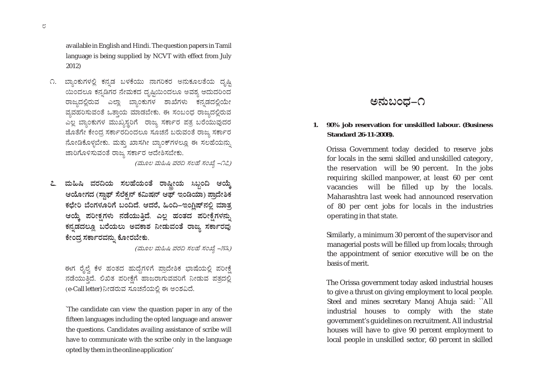available in English and Hindi. The question papers in Tamil language is being supplied by NCVT with effect from July  $2012$ 

೧. ಬ್ಯಾಂಕುಗಳಲ್ಲಿ ಕನ್ನಡ ಬಳಕೆಯು ನಾಗರಿಕರ ಅನುಕೂಲತೆಯ ದೃಷ್ಠಿ ಯಿಂದಲೂ ಕನ್ನಡಿಗರ ನೇಮಕದ ದೃಷ್ಟಿಯಿಂದಲೂ ಅವಶ್ಯ ಆದುದರಿಂದ ರಾಜ್ಯದಲ್ಲಿರುವ ಎಲ್ಲಾ ಬ್ಯಾಂಕುಗಳ ಶಾಖೆಗಳು ಕನ್ನಡದಲ್ಲಿಯೇ ವ್ಯವಹರಿಸುವಂತೆ ಒತ್ತಾಯ ಮಾಡಬೇಕು. ಈ ಸಂಬಂಧ ರಾಜ್ಯದಲ್ಲಿರುವ ಎಲ್ಲ ಬ್ಯಾಂಕುಗಳ ಮುಖ್ಯಸ್ಥರಿಗೆ ರಾಜ್ಯ ಸರ್ಕಾರ ಪತ್ರ ಬರೆಯುವುದರ ಜೊತೆಗೇ ಕೇಂದ್ರ ಸರ್ಕಾರದಿಂದಲೂ ಸೂಚನೆ ಬರುವಂತೆ ರಾಜ್ಯ ಸರ್ಕಾರ ನೋಡಿಕೊಳ್ಳಬೇಕು. ಮತ್ತು ಖಾಸಗೀ ಬ್ಯಾಂಕ್ ಗಳಲ್ಲೂ ಈ ಸಲಹೆಯನ್ನು ಜಾರಿಗೊಳಿಸುವಂತೆ ರಾಜ್ಯ ಸರ್ಕಾರ ಆದೇಶಿಸಬೇಕು.

(ಮೂಲ ಮಹಿಷಿ ವರದಿ ಸಲಹೆ ಸಂಖ್ಯೆ –೧೭)

೭. ಮಹಿಷಿ ವರದಿಯ ಸಲಹೆಯಂತೆ ರಾಷ್ಷೀಯ ಸಿಬ್ಬಂದಿ ಆಯ್ತೆ ಆಯೋಗದ (ಸ್ವಾಫ್ ಸೆಲೆಕ್ಷನ್ ಕಮಿಷನ್ ಆಫ್ ಇಂಡಿಯಾ) ಪ್ರಾದೇಶಿಕ ಕಛೇರಿ ಬೆಂಗಳೂರಿಗೆ ಬಂದಿದೆ. ಆದರೆ, ಹಿಂದಿ–ಇಂಗಿಷ್**ನಲ್ಲಿ** ಮಾತ್ನ ಆಯ್ಕೆ ಪರೀಕ್ಷಗಳು ನಡೆಯುತ್ತಿದೆ. ಎಲ್ಲ ಹಂತದ ಪರೀಕ್ಷೆಗಳನ್ನು ಕನ್ನಡದಲ್ಲೂ ಬರೆಯಲು ಅವಕಾಶ ನೀಡುವಂತೆ ರಾಜ್ಯ ಸರ್ಕಾರವು ಕೇಂದ್ರ ಸರ್ಕಾರವನು, ಕೋರಬೇಕು.

(ಮೂಲ ಮಹಿಷಿ ವರದಿ ಸಲಹೆ ಸಂಖ್ಯೆ –೫೩)

ಈಗ ರೈಲ್ವೆ ಕೆಳ ಹಂತದ ಹುದ್ದೆಗಳಿಗೆ ಪ್ರಾದೇಶಿಕ ಭಾಷೆಯಲ್ಲಿ ಪರೀಕ್ಷೆ ನಡೆಯುತ್ತಿದೆ. ಲಿಖಿತ ಪರೀಕ್ಷೆಗೆ ಹಾಜರಾಗುವವರಿಗೆ ನೀಡುವ ಪತ್ತದಲ್ಲಿ (e-Call letter) ನೀಡರುವ ಸೂಚನೆಯಲ್ಲಿ ಈ ಅಂಶವಿದೆ.

The candidate can view the quastion paper in any of the fifteen languages including the opted language and answer the questions. Candidates availing assistance of scribe will have to communicate with the scribe only in the language opted by them in the online application'

# ಅನುಬಂದ–೧

90% job reservation for unskilled labour. (Business 1. **Standard 26-11-2008).** 

Orissa Government today decided to reserve jobs for locals in the semi skilled and unskilled category, the reservation will be 90 percent. In the jobs requiring skilled manpower, at least 60 per cent vacancies will be filled up by the locals. Maharashtra last week had announced reservation of 80 per cent jobs for locals in the industries operating in that state.

Similarly, a minimum 30 percent of the supervisor and managerial posts will be filled up from locals; through the appointment of senior executive will be on the basis of merit.

The Orissa government today asked industrial houses to give a thrust on giving employment to local people. Steel and mines secretary Manoj Ahuja said: "All industrial houses to comply with the state government's guidelines on recruitment. All industrial houses will have to give 90 percent employment to local people in unskilled sector, 60 percent in skilled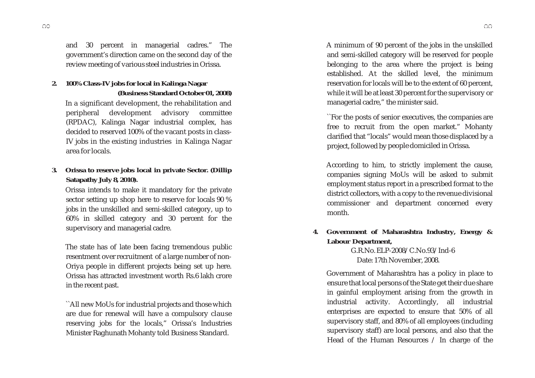and 30 percent in managerial cadres." The government's direction came on the second day of the review meeting of various steel industries in Orissa.

## **2. 100% Class-IV jobs for local in Kalinga Nagar (Business Standard October 01, 2008)**

In a significant development, the rehabilitation and peripheral development advisory committee (RPDAC), Kalinga Nagar industrial complex, has decided to reserved 100% of the vacant posts in class-IV jobs in the existing industries in Kalinga Nagar area for locals.

## **3. Orissa to reserve jobs local in private Sector. (Dillip Satapathy July 8, 2010).**

Orissa intends to make it mandatory for the private sector setting up shop here to reserve for locals 90 % jobs in the unskilled and semi-skilled category, up to 60% in skilled category and 30 percent for the supervisory and managerial cadre.

The state has of late been facing tremendous public resentment over recruitment of a large number of non-Oriya people in different projects being set up here. Orissa has attracted investment worth Rs.6 lakh crore in the recent past.

``All new MoUs for industrial projects and those which are due for renewal will have a compulsory clause reserving jobs for the locals," Orissa's Industries Minister Raghunath Mohanty told Business Standard.

A minimum of 90 percent of the jobs in the unskilled and semi-skilled category will be reserved for people belonging to the area where the project is being established. At the skilled level, the minimum reservation for locals will be to the extent of 60 percent, while it will be at least 30 percent for the supervisory or managerial cadre," the minister said.

``For the posts of senior executives, the companies are free to recruit from the open market." Mohanty clarified that "locals" would mean those displaced by a project, followed by people domiciled in Orissa.

According to him, to strictly implement the cause, companies signing MoUs will be asked to submit employment status report in a prescribed format to the district collectors, with a copy to the revenue divisional commissioner and department concerned every month.

**4. Government of Maharashtra Industry, Energy & Labour Department,**

> G.R.No. ELP-2008/C.No.93/Ind-6 Date: 17th November, 2008.

Government of Maharashtra has a policy in place to ensure that local persons of the State get their due share in gainful employment arising from the growth in industrial activity. Accordingly, all industrial enterprises are expected to ensure that 50% of all supervisory staff, and 80% of all employees (including supervisory staff) are local persons, and also that the Head of the Human Resources / In charge of the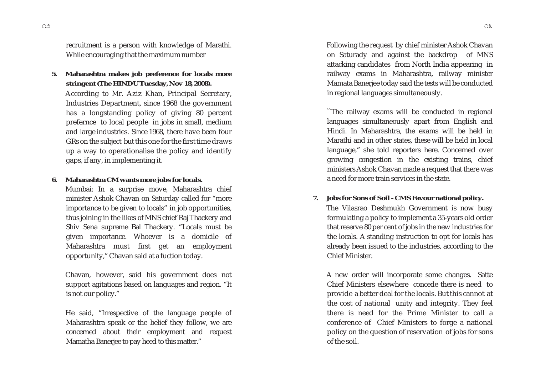recruitment is a person with knowledge of Marathi. While encouraging that the maximum number

**5. Maharashtra makes job preference for locals more stringent (The HINDU Tuesday, Nov 18, 2008).**

According to Mr. Aziz Khan, Principal Secretary, Industries Department, since 1968 the government has a longstanding policy of giving 80 percent prefernce to local people in jobs in small, medium and large industries. Since 1968, there have been four GRs on the subject but this one for the first time draws up a way to operationalise the policy and identify gaps, if any, in implementing it.

#### **6. Maharashtra CM wants more jobs for locals.**

Mumbai: In a surprise move, Maharashtra chief minister Ashok Chavan on Saturday called for "more importance to be given to locals" in job opportunities, thus joining in the likes of MNS chief Raj Thackery and Shiv Sena supreme Bal Thackery. "Locals must be given importance. Whoever is a domicile of Maharashtra must first get an employment opportunity," Chavan said at a fuction today.

Chavan, however, said his government does not support agitations based on languages and region. "It is not our policy."

He said, "Irrespective of the language people of Maharashtra speak or the belief they follow, we are concerned about their employment and request Mamatha Banerjee to pay heed to this matter."

Following the request by chief minister Ashok Chavan on Saturady and against the backdrop of MNS attacking candidates from North India appearing in railway exams in Maharashtra, railway minister Mamata Banerjee today said the tests will be conducted in regional languages simultaneously.

``The railway exams will be conducted in regional languages simultaneously apart from English and Hindi. In Maharashtra, the exams will be held in Marathi and in other states, these will be held in local language," she told reporters here. Concerned over growing congestion in the existing trains, chief ministers Ashok Chavan made a request that there was a need for more train services in the state.

 **7. Jobs for Sons of Soil - CMS Favour national policy.**

The Vilasrao Deshmukh Government is now busy formulating a policy to implement a 35-years old order that reserve 80 per cent of jobs in the new industries for the locals. A standing instruction to opt for locals has already been issued to the industries, according to the Chief Minister.

A new order will incorporate some changes. Satte Chief Ministers elsewhere concede there is need to provide a better deal for the locals. But this cannot at the cost of national unity and integrity. They feel there is need for the Prime Minister to call a conference of Chief Ministers to forge a national policy on the question of reservation of jobs for sons of the soil.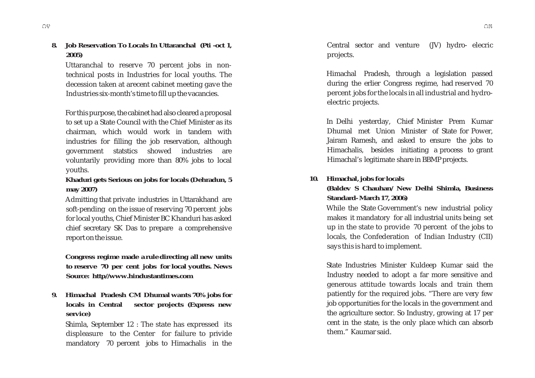**8. Job Reservation To Locals In Uttaranchal (Pti -oct 1, 2005)**

Uttaranchal to reserve 70 percent jobs in nontechnical posts in Industries for local youths. The decession taken at arecent cabinet meeting gave the Industries six-month's time to fill up the vacancies.

For this purpose, the cabinet had also cleared a proposal to set up a State Council with the Chief Minister as its chairman, which would work in tandem with industries for filling the job reservation, although government statstics showed industries are voluntarily providing more than 80% jobs to local youths.

#### **Khaduri gets Serious on jobs for locals (Dehradun, 5 may 2007)**

Admitting that private industries in Uttarakhand are soft-pending on the issue of reserving 70 percent jobs for local youths, Chief Minister BC Khanduri has asked chief secretary SK Das to prepare a comprehensive report on the issue.

**Congress regime made a rule directing all new units to reserve 70 per cent jobs for local youths. News Source: http//www.hindustantimes.com**

**9. Himachal Pradesh CM Dhumal wants 70% jobs for locals in Central sector projects (Express new service)**

Shimla, September 12 : The state has expressed its displeasure to the Center for failure to privide mandatory 70 percent jobs to Himachalis in the Central sector and venture (JV) hydro- elecric projects.

Himachal Pradesh, through a legislation passed during the erlier Congress regime, had reserved 70 percent jobs for the locals in all industrial and hydroelectric projects.

In Delhi yesterday, Chief Minister Prem Kumar Dhumal met Union Minister of State for Power, Jairam Ramesh, and asked to ensure the jobs to Himachalis, besides initiating a process to grant Himachal's legitimate share in BBMP projects.

#### **10. Himachal, jobs for locals**

#### **(Baldev S Chauhan/ New Delhi Shimla, Business Standard- March 17, 2006)**

While the State Government's new industrial policy makes it mandatory for all industrial units being set up in the state to provide 70 percent of the jobs to locals, the Confederation of Indian Industry (CII) says this is hard to implement.

State Industries Minister Kuldeep Kumar said the Industry needed to adopt a far more sensitive and generous attitude towards locals and train them patiently for the required jobs. "There are very few job opportunities for the locals in the government and the agriculture sector. So Industry, growing at 17 per cent in the state, is the only place which can absorb them." Kaumar said.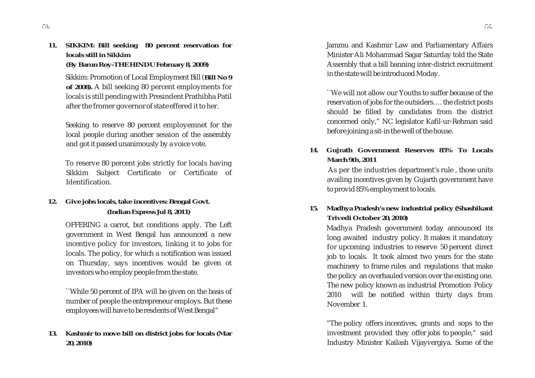**11. SIKKIM: Bill seeking 80 percent reservation for locals still in Sikkim (By Barun Roy-THE HINDU February 8, 2009)**

> Sikkim: Promotion of Local Employment Bill (**Bill No 9 of 2008).** A bill seeking 80 percent employments for locals is still pending with Presindent Prathibha Patil after the fromer governor of state effered it to her.

> Seeking to reserve 80 percent employemnet for the local people during another session of the assembly and got it passed unanimously by a voice vote.

> To reserve 80 percent jobs strictly for locals having Sikkim Subject Certificate or Certificate of Identification.

## **12. Give jobs locals, take incentives: Bengal Govt. (Indian Express Jul 8, 2011)**

OFFERING a carrot, but conditions apply. The Left government in West Bengal has announced a new incentive policy for investors, linking it to jobs for locals. The policy, for which a notification was issued on Thursday, says incentives would be given ot investors who employ people from the state.

``While 50 percent of IPA will be given on the basis of number of people the entrepreneur employs. But these employees will have to be resdents of West Bengal"

#### **13. Kashmir to move bill on district jobs for locals (Mar 20, 2010)**

Jammu and Kashmir Law and Parliamentary Affairs Minister Ali Mohammad Sagar Saturday told the State Assembly that a bill banning inter-district recruitment in the state will be introduced Moday.

``We will not allow our Youths to suffer because of the reservation of jobs for the outsiders…. the district posts should be filled by candidates from the district concerned only," NC legislator Kafil-ur-Rehman said before joining a sit-in the well of the house.

**14. Gujrath Government Reserves 85% To Locals March 9th, 2011**

As per the industries department's rule , those units availing incentives given by Gujarth government have to provid 85% employment to locals.

## **15. Madhya Pradesh's new industrial policy (Shashikant Trivedi October 20, 2010)**

Madhya Pradesh government today announced its long awaited industry policy. It makes it mandatory for upcoming industries to reserve 50 percent direct job to locals. It took almost two years for the state machinery to frame rules and regulations that make the policy an overhauled version over the existing one. The new policy known as industrial Promotion Policy 2010 will be notified within thirty days from November 1.

"The policy offers incentives, grants and sops to the investment provided they offer jobs to people," said Industry Minister Kailash Vijayvergiya. Some of the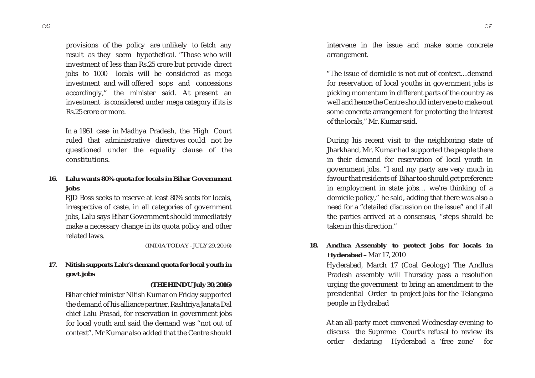provisions of the policy are unlikely to fetch any result as they seem hypothetical. "Those who will investment of less than Rs.25 crore but provide direct jobs to 1000 locals will be considered as mega investment and will offered sops and concessions accordingly," the minister said. At present an investment is considered under mega category if its is Rs.25 crore or more.

In a 1961 case in Madhya Pradesh, the High Court ruled that administrative directives could not be questioned under the equality clause of the constitutions.

**16. Lalu wants 80% quota for locals in Bihar Government jobs**

RJD Boss seeks to reserve at least 80% seats for locals, irrespective of caste, in all categories of government jobs, Lalu says Bihar Government should immediately make a necessary change in its quota policy and other related laws.

*(INDIA TODAY - JULY 29, 2016)*

## **17. Nitish supports Lalu's demand quota for local youth in govt. jobs**

#### **(THE HINDU July 30, 2016)**

Bihar chief minister Nitish Kumar on Friday supported the demand of his alliance partner, Rashtriya Janata Dal chief Lalu Prasad, for reservation in government jobs for local youth and said the demand was "not out of context". Mr Kumar also added that the Centre should

intervene in the issue and make some concrete arrangement.

"The issue of domicile is not out of context…demand for reservation of local youths in government jobs is picking momentum in different parts of the country as well and hence the Centre should intervene to make out some concrete arrangement for protecting the interest of the locals," Mr. Kumar said.

During his recent visit to the neighboring state of Jharkhand, Mr. Kumar had supported the people there in their demand for reservation of local youth in government jobs. "I and my party are very much in favour that residents of Bihar too should get preference in employment in state jobs… we're thinking of a domicile policy," he said, adding that there was also a need for a "detailed discussion on the issue" and if all the parties arrived at a consensus, "steps should be taken in this direction."

**18. Andhra Assembly to protect jobs for locals in Hyderabad –** Mar 17, 2010

Hyderabad, March 17 (Coal Geology) The Andhra Pradesh assembly will Thursday pass a resolution urging the government to bring an amendment to the presidential Order to project jobs for the Telangana people in Hydrabad

At an all-party meet convened Wednesday evening to discuss the Supreme Court's refusal to review its order declaring Hyderabad a 'free zone' for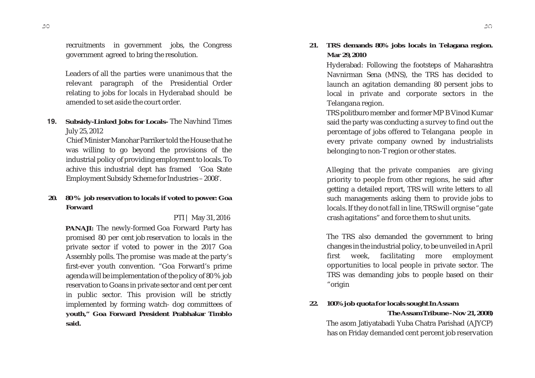recruitments in government jobs, the Congress government agreed to bring the resolution.

Leaders of all the parties were unanimous that the relevant paragraph of the Presidential Order relating to jobs for locals in Hyderabad should be amended to set aside the court order.

**19. Subsidy-Linked Jobs for Locals-** The Navhind Times July 25, 2012

 Chief Minister Manohar Parriker told the House that he was willing to go beyond the provisions of the industrial policy of providing employment to locals. To achive this industrial dept has framed 'Goa State Employment Subsidy Scheme for Industries – 2008'.

#### **20. 80 % job reservation to locals if voted to power: Goa Forward**

PTI | May 31, 2016

**PANAJI:** The newly-formed Goa Forward Party has promised 80 per cent job reservation to locals in the private sector if voted to power in the 2017 Goa Assembly polls. The promise was made at the party's first-ever youth convention. "Goa Forward's prime agenda will be implementation of the policy of 80 % job reservation to Goans in private sector and cent per cent in public sector. This provision will be strictly implemented by forming watch- dog committees of **youth," Goa Forward President Prabhakar Timblo said.**

## **21. TRS demands 80% jobs locals in Telagana region. Mar 29, 2010**

Hyderabad: Following the footsteps of Maharashtra Navnirman Sena (MNS), the TRS has decided to launch an agitation demanding 80 persent jobs to local in private and corporate sectors in the Telangana region.

TRS politburo member and former MP B Vinod Kumar said the party was conducting a survey to find out the percentage of jobs offered to Telangana people in every private company owned by industrialists belonging to non-T region or other states.

Alleging that the private companies are giving priority to people from other regions, he said after getting a detailed report, TRS will write letters to all such managements asking them to provide jobs to locals. If they do not fall in line, TRS will orgnise "gate crash agitations" and force them to shut units.

The TRS also demanded the government to bring changes in the industrial policy, to be unveiled in April first week, facilitating more employment opportunities to local people in private sector. The TRS was demanding jobs to people based on their "origin

**22. 100% job quota for locals sought In Assam The Assam Tribune - Nov 21, 2008)**

The asom Jatiyatabadi Yuba Chatra Parishad (AJYCP) has on Friday demanded cent percent job reservation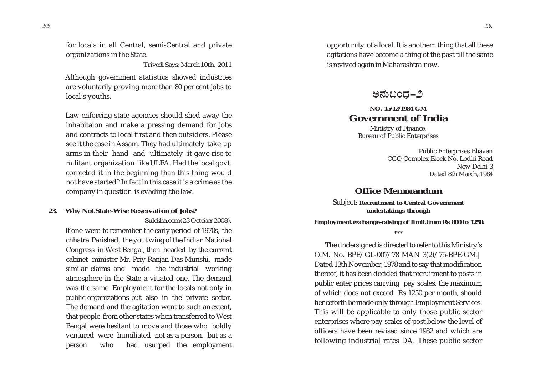for locals in all Central, semi-Central and private organizations in the State.

*Trivedi Says: March 10th, 2011*

Although government statistics showed industries are voluntarily proving more than 80 per cent jobs to local's youths.

Law enforcing state agencies should shed away the inhabitaion and make a pressing demand for jobs and contracts to local first and then outsiders. Please see it the case in Assam. They had ultimately take up arms in their hand and ultimately it gave rise to militant organization like ULFA. Had the local govt. corrected it in the beginning than this thing would not have started? In fact in this case it is a crime as the company in question is evading the law.

## **23. Why Not State-Wise Reservation of Jobs?**  *Sulekha.com (23 October 2008).*

If one were to remember the early period of 1970s, the chhatra Parishad, the yout wing of the Indian National Congress in West Bengal, then headed by the current cabinet minister Mr. Priy Ranjan Das Munshi, made similar claims and made the industrial working atmosphere in the State a vitiated one. The demand was the same. Employment for the locals not only in public organizations but also in the private sector. The demand and the agitation went to such an extent, that people from other states when transferred to West Bengal were hesitant to move and those who boldly ventured were humiliated not as a person, but as a person who had usurped the employment

opportunity of a local. It is anotherr thing that all these agitations have become a thing of the past till the same is revived again in Maharashtra now.

ಅನುಬಂದ–೨

## **NO. 15/12/1984-GM Government of India**

Ministry of Finance, Bureau of Public Enterprises

> Public Enterprises Bhavan CGO Complex Block No, Lodhi Road New Delhi-3 Dated 8th March, 1984

## **Office Memorandum**

Subject: **Recruitment to Central Government undertakings through**

 **Employment exchange-raising of limit from Rs 800 to 1250. \*\*\***

The undersigned is directed to refer to this Ministry's O.M. No. BPE/GL-007/78 MAN 3(2)/75-BPE-GM.| Dated 13th November, 1978 and to say that modification thereof, it has been decided that recruitment to posts in public enter prices carrying pay scales, the maximum of which does not exceed Rs 1250 per month, should henceforth be made only through Employment Services. This will be applicable to only those public sector enterprises where pay scales of post below the level of officers have been revised since 1982 and which are following industrial rates DA. These public sector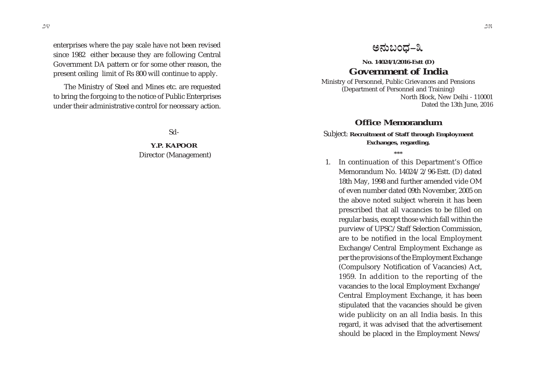enterprises where the pay scale have not been revised since 1982 either because they are following Central Government DA pattern or for some other reason, the present ceiling limit of Rs 800 will continue to apply.

The Ministry of Steel and Mines etc. are requested to bring the forgoing to the notice of Public Enterprises under their administrative control for necessary action.

Sd-

**Y.P. KAPOOR** Director (Management)

## ಅನುಬಂಧ–೩

## **No. 14024/1/2016-Estt (D) Government of India**

Ministry of Personnel, Public Grievances and Pensions (Department of Personnel and Training) North Block, New Delhi - 110001 Dated the 13th June, 2016

## **Office Memorandum**

#### Subject: **Recruitment of Staff through Employment Exchanges, regarding.**

**\*\*\***

1. In continuation of this Department's Office Memorandum No. 14024/2/96-Estt. (D) dated 18th May, 1998 and further amended vide OM of even number dated 09th November, 2005 on the above noted subject wherein it has been prescribed that all vacancies to be filled on regular basis, except those which fall within the purview of UPSC/Staff Selection Commission, are to be notified in the local Employment Exchange/Central Employment Exchange as per the provisions of the Employment Exchange (Compulsory Notification of Vacancies) Act, 1959. In addition to the reporting of the vacancies to the local Employment Exchange/ Central Employment Exchange, it has been stipulated that the vacancies should be given wide publicity on an all India basis. In this regard, it was advised that the advertisement should be placed in the Employment News/